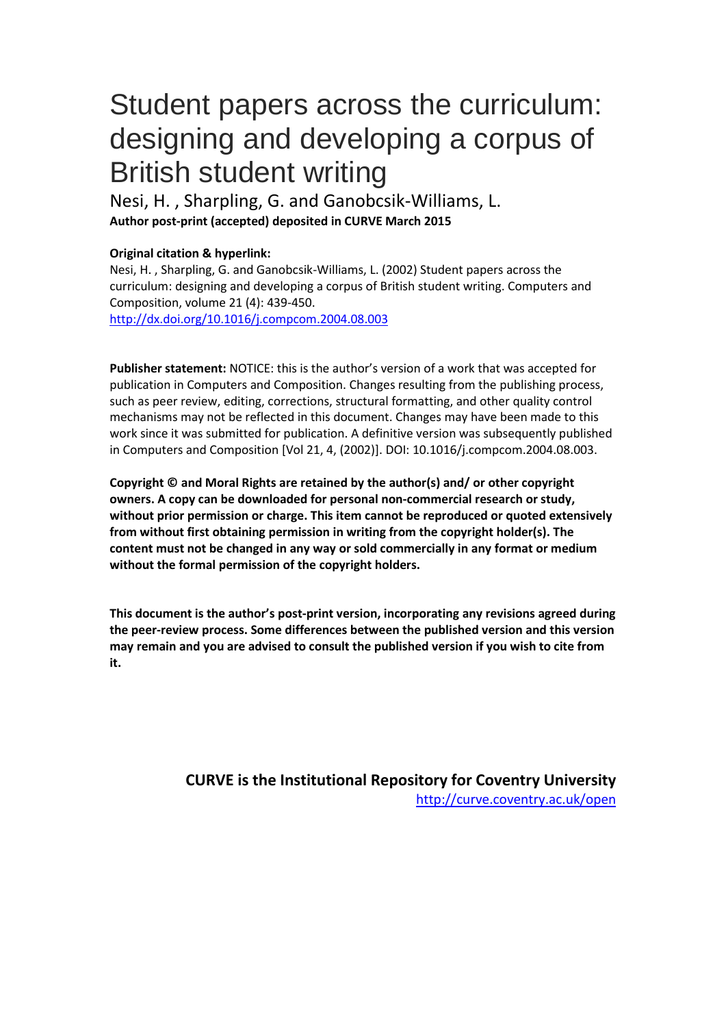# Student papers across the curriculum: designing and developing a corpus of British student writing

Nesi, H. , Sharpling, G. and Ganobcsik-Williams, L. **Author post-print (accepted) deposited in CURVE March 2015**

# **Original citation & hyperlink:**

Nesi, H. , Sharpling, G. and Ganobcsik-Williams, L. (2002) Student papers across the curriculum: designing and developing a corpus of British student writing. Computers and Composition, volume 21 (4): 439-450. <http://dx.doi.org/10.1016/j.compcom.2004.08.003>

**Publisher statement:** NOTICE: this is the author's version of a work that was accepted for publication in Computers and Composition. Changes resulting from the publishing process, such as peer review, editing, corrections, structural formatting, and other quality control mechanisms may not be reflected in this document. Changes may have been made to this work since it was submitted for publication. A definitive version was subsequently published in Computers and Composition [Vol 21, 4, (2002)]. DOI: 10.1016/j.compcom.2004.08.003.

**Copyright © and Moral Rights are retained by the author(s) and/ or other copyright owners. A copy can be downloaded for personal non-commercial research or study, without prior permission or charge. This item cannot be reproduced or quoted extensively from without first obtaining permission in writing from the copyright holder(s). The content must not be changed in any way or sold commercially in any format or medium without the formal permission of the copyright holders.** 

**This document is the author's post-print version, incorporating any revisions agreed during the peer-review process. Some differences between the published version and this version may remain and you are advised to consult the published version if you wish to cite from it.** 

> **CURVE is the Institutional Repository for Coventry University** <http://curve.coventry.ac.uk/open>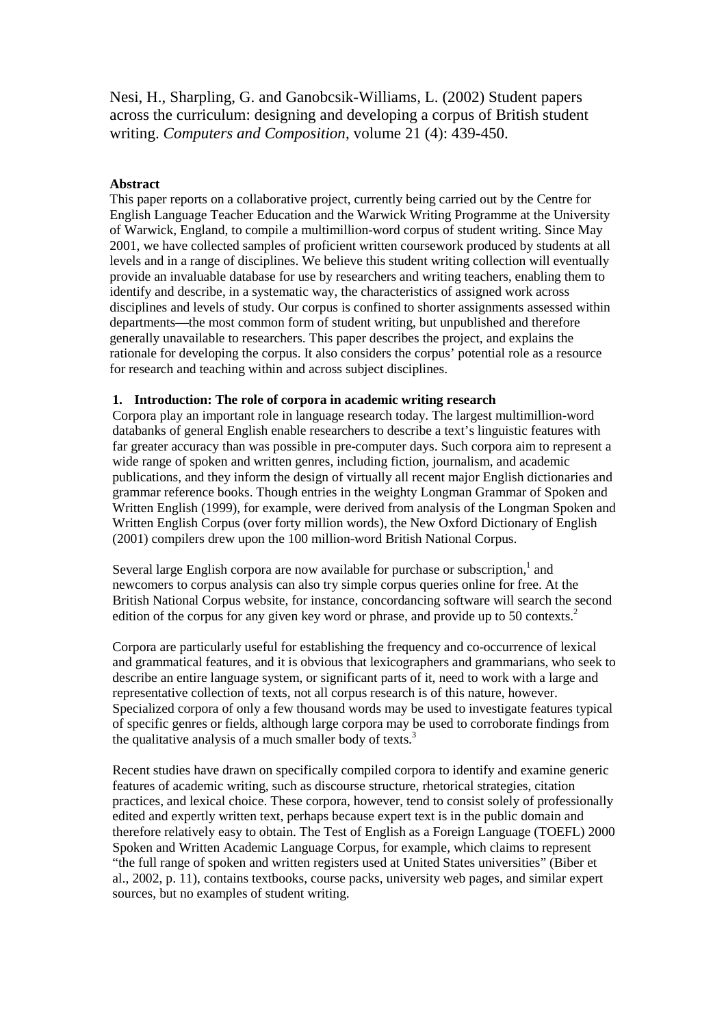Nesi, H., Sharpling, G. and Ganobcsik-Williams, L. (2002) Student papers across the curriculum: designing and developing a corpus of British student writing. *Computers and Composition*, volume 21 (4): 439-450.

#### **Abstract**

This paper reports on a collaborative project, currently being carried out by the Centre for English Language Teacher Education and the Warwick Writing Programme at the University of Warwick, England, to compile a multimillion-word corpus of student writing. Since May 2001, we have collected samples of proficient written coursework produced by students at all levels and in a range of disciplines. We believe this student writing collection will eventually provide an invaluable database for use by researchers and writing teachers, enabling them to identify and describe, in a systematic way, the characteristics of assigned work across disciplines and levels of study. Our corpus is confined to shorter assignments assessed within departments—the most common form of student writing, but unpublished and therefore generally unavailable to researchers. This paper describes the project, and explains the rationale for developing the corpus. It also considers the corpus' potential role as a resource for research and teaching within and across subject disciplines.

#### **1. Introduction: The role of corpora in academic writing research**

Corpora play an important role in language research today. The largest multimillion-word databanks of general English enable researchers to describe a text's linguistic features with far greater accuracy than was possible in pre-computer days. Such corpora aim to represent a wide range of spoken and written genres, including fiction, journalism, and academic publications, and they inform the design of virtually all recent major English dictionaries and grammar reference books. Though entries in the weighty Longman Grammar of Spoken and Written English (1999), for example, were derived from analysis of the Longman Spoken and Written English Corpus (over forty million words), the New Oxford Dictionary of English (2001) compilers drew upon the 100 million-word British National Corpus.

Several large English corpora are now available for purchase or subscription,<sup>1</sup> and newcomers to corpus analysis can also try simple corpus queries online for free. At the British National Corpus website, for instance, concordancing software will search the second edition of the corpus for any given key word or phrase, and provide up to 50 contexts. $2$ 

Corpora are particularly useful for establishing the frequency and co-occurrence of lexical and grammatical features, and it is obvious that lexicographers and grammarians, who seek to describe an entire language system, or significant parts of it, need to work with a large and representative collection of texts, not all corpus research is of this nature, however. Specialized corpora of only a few thousand words may be used to investigate features typical of specific genres or fields, although large corpora may be used to corroborate findings from the qualitative analysis of a much smaller body of texts. $3$ 

Recent studies have drawn on specifically compiled corpora to identify and examine generic features of academic writing, such as discourse structure, rhetorical strategies, citation practices, and lexical choice. These corpora, however, tend to consist solely of professionally edited and expertly written text, perhaps because expert text is in the public domain and therefore relatively easy to obtain. The Test of English as a Foreign Language (TOEFL) 2000 Spoken and Written Academic Language Corpus, for example, which claims to represent "the full range of spoken and written registers used at United States universities" (Biber et al., 2002, p. 11), contains textbooks, course packs, university web pages, and similar expert sources, but no examples of student writing.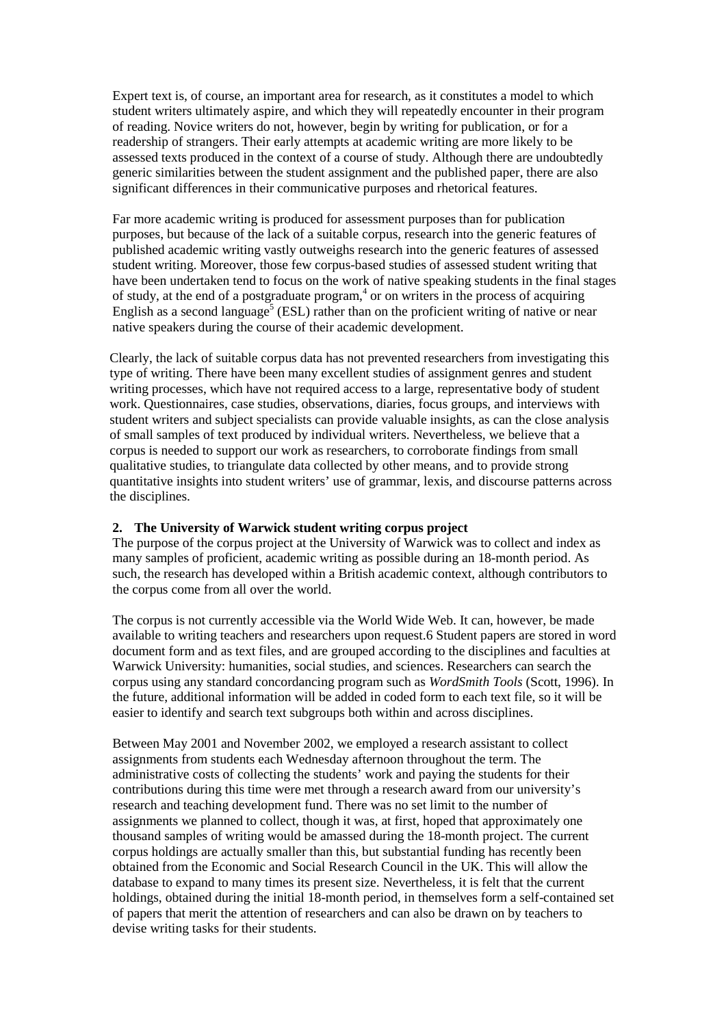Expert text is, of course, an important area for research, as it constitutes a model to which student writers ultimately aspire, and which they will repeatedly encounter in their program of reading. Novice writers do not, however, begin by writing for publication, or for a readership of strangers. Their early attempts at academic writing are more likely to be assessed texts produced in the context of a course of study. Although there are undoubtedly generic similarities between the student assignment and the published paper, there are also significant differences in their communicative purposes and rhetorical features.

Far more academic writing is produced for assessment purposes than for publication purposes, but because of the lack of a suitable corpus, research into the generic features of published academic writing vastly outweighs research into the generic features of assessed student writing. Moreover, those few corpus-based studies of assessed student writing that have been undertaken tend to focus on the work of native speaking students in the final stages of study, at the end of a postgraduate program, $4$  or on writers in the process of acquiring English as a second language<sup>5</sup> (ESL) rather than on the proficient writing of native or near native speakers during the course of their academic development.

Clearly, the lack of suitable corpus data has not prevented researchers from investigating this type of writing. There have been many excellent studies of assignment genres and student writing processes, which have not required access to a large, representative body of student work. Questionnaires, case studies, observations, diaries, focus groups, and interviews with student writers and subject specialists can provide valuable insights, as can the close analysis of small samples of text produced by individual writers. Nevertheless, we believe that a corpus is needed to support our work as researchers, to corroborate findings from small qualitative studies, to triangulate data collected by other means, and to provide strong quantitative insights into student writers' use of grammar, lexis, and discourse patterns across the disciplines.

# **2. The University of Warwick student writing corpus project**

The purpose of the corpus project at the University of Warwick was to collect and index as many samples of proficient, academic writing as possible during an 18-month period. As such, the research has developed within a British academic context, although contributors to the corpus come from all over the world.

The corpus is not currently accessible via the World Wide Web. It can, however, be made available to writing teachers and researchers upon request.6 Student papers are stored in word document form and as text files, and are grouped according to the disciplines and faculties at Warwick University: humanities, social studies, and sciences. Researchers can search the corpus using any standard concordancing program such as *WordSmith Tools* (Scott, 1996). In the future, additional information will be added in coded form to each text file, so it will be easier to identify and search text subgroups both within and across disciplines.

Between May 2001 and November 2002, we employed a research assistant to collect assignments from students each Wednesday afternoon throughout the term. The administrative costs of collecting the students' work and paying the students for their contributions during this time were met through a research award from our university's research and teaching development fund. There was no set limit to the number of assignments we planned to collect, though it was, at first, hoped that approximately one thousand samples of writing would be amassed during the 18-month project. The current corpus holdings are actually smaller than this, but substantial funding has recently been obtained from the Economic and Social Research Council in the UK. This will allow the database to expand to many times its present size. Nevertheless, it is felt that the current holdings, obtained during the initial 18-month period, in themselves form a self-contained set of papers that merit the attention of researchers and can also be drawn on by teachers to devise writing tasks for their students.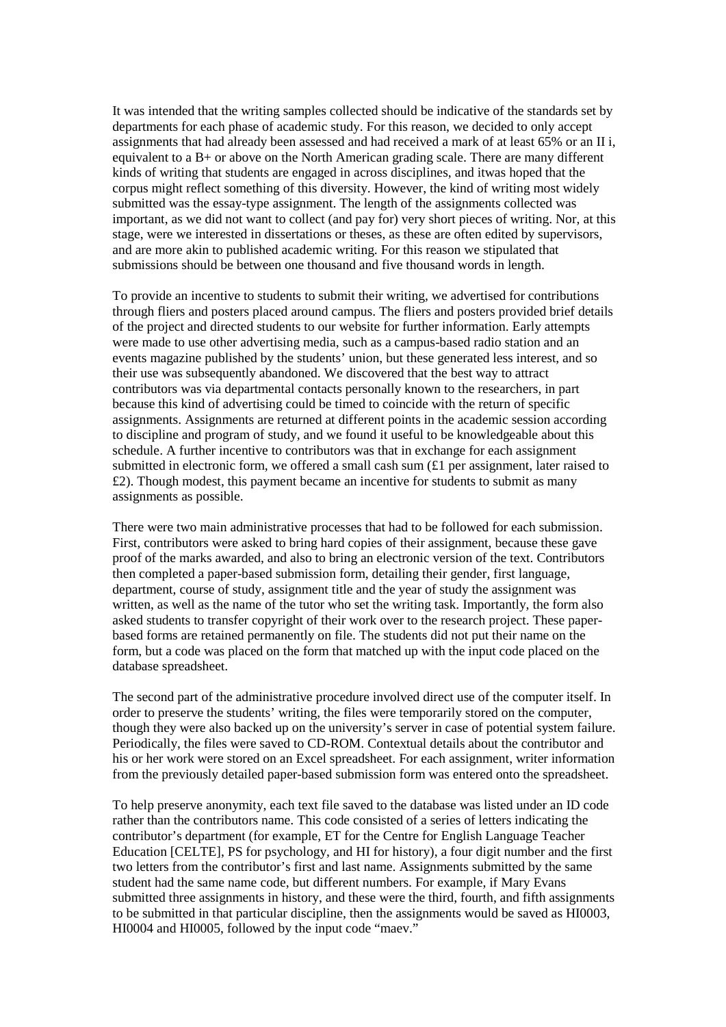It was intended that the writing samples collected should be indicative of the standards set by departments for each phase of academic study. For this reason, we decided to only accept assignments that had already been assessed and had received a mark of at least 65% or an II i, equivalent to a  $B+$  or above on the North American grading scale. There are many different kinds of writing that students are engaged in across disciplines, and itwas hoped that the corpus might reflect something of this diversity. However, the kind of writing most widely submitted was the essay-type assignment. The length of the assignments collected was important, as we did not want to collect (and pay for) very short pieces of writing. Nor, at this stage, were we interested in dissertations or theses, as these are often edited by supervisors, and are more akin to published academic writing. For this reason we stipulated that submissions should be between one thousand and five thousand words in length.

To provide an incentive to students to submit their writing, we advertised for contributions through fliers and posters placed around campus. The fliers and posters provided brief details of the project and directed students to our website for further information. Early attempts were made to use other advertising media, such as a campus-based radio station and an events magazine published by the students' union, but these generated less interest, and so their use was subsequently abandoned. We discovered that the best way to attract contributors was via departmental contacts personally known to the researchers, in part because this kind of advertising could be timed to coincide with the return of specific assignments. Assignments are returned at different points in the academic session according to discipline and program of study, and we found it useful to be knowledgeable about this schedule. A further incentive to contributors was that in exchange for each assignment submitted in electronic form, we offered a small cash sum  $(f1)$  per assignment, later raised to  $£2$ ). Though modest, this payment became an incentive for students to submit as many assignments as possible.

There were two main administrative processes that had to be followed for each submission. First, contributors were asked to bring hard copies of their assignment, because these gave proof of the marks awarded, and also to bring an electronic version of the text. Contributors then completed a paper-based submission form, detailing their gender, first language, department, course of study, assignment title and the year of study the assignment was written, as well as the name of the tutor who set the writing task. Importantly, the form also asked students to transfer copyright of their work over to the research project. These paperbased forms are retained permanently on file. The students did not put their name on the form, but a code was placed on the form that matched up with the input code placed on the database spreadsheet.

The second part of the administrative procedure involved direct use of the computer itself. In order to preserve the students' writing, the files were temporarily stored on the computer, though they were also backed up on the university's server in case of potential system failure. Periodically, the files were saved to CD-ROM. Contextual details about the contributor and his or her work were stored on an Excel spreadsheet. For each assignment, writer information from the previously detailed paper-based submission form was entered onto the spreadsheet.

To help preserve anonymity, each text file saved to the database was listed under an ID code rather than the contributors name. This code consisted of a series of letters indicating the contributor's department (for example, ET for the Centre for English Language Teacher Education [CELTE], PS for psychology, and HI for history), a four digit number and the first two letters from the contributor's first and last name. Assignments submitted by the same student had the same name code, but different numbers. For example, if Mary Evans submitted three assignments in history, and these were the third, fourth, and fifth assignments to be submitted in that particular discipline, then the assignments would be saved as HI0003, HI0004 and HI0005, followed by the input code "maev."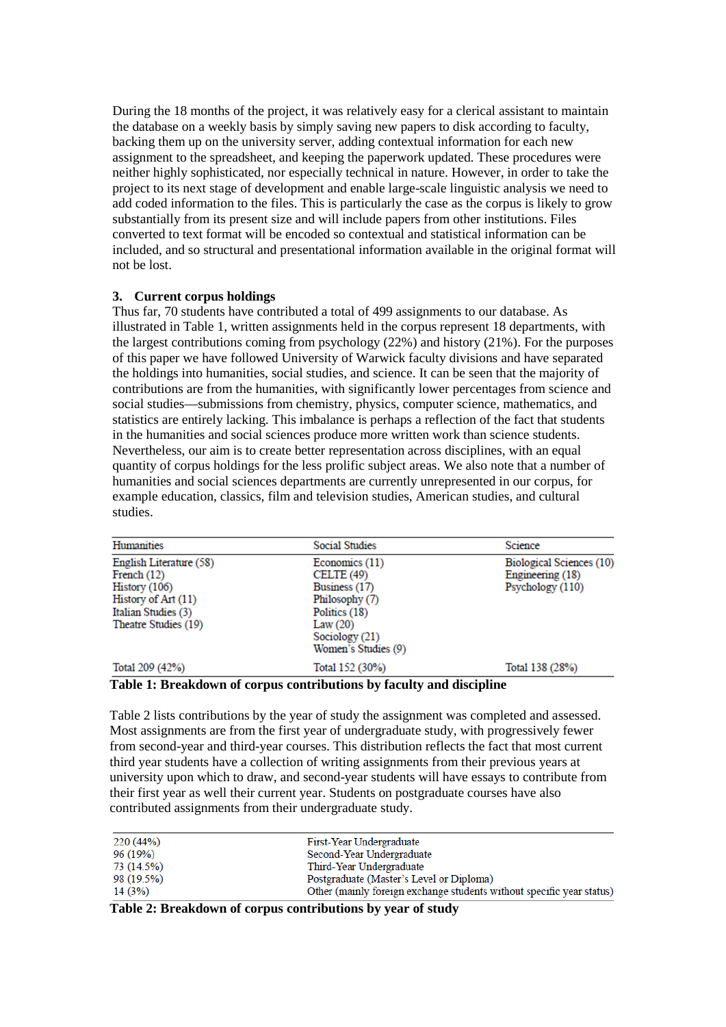During the 18 months of the project, it was relatively easy for a clerical assistant to maintain the database on a weekly basis by simply saving new papers to disk according to faculty, backing them up on the university server, adding contextual information for each new assignment to the spreadsheet, and keeping the paperwork updated. These procedures were neither highly sophisticated, nor especially technical in nature. However, in order to take the project to its next stage of development and enable large-scale linguistic analysis we need to add coded information to the files. This is particularly the case as the corpus is likely to grow substantially from its present size and will include papers from other institutions. Files converted to text format will be encoded so contextual and statistical information can be included, and so structural and presentational information available in the original format will not be lost.

# **3. Current corpus holdings**

Thus far, 70 students have contributed a total of 499 assignments to our database. As illustrated in Table 1, written assignments held in the corpus represent 18 departments, with the largest contributions coming from psychology (22%) and history (21%). For the purposes of this paper we have followed University of Warwick faculty divisions and have separated the holdings into humanities, social studies, and science. It can be seen that the majority of contributions are from the humanities, with significantly lower percentages from science and social studies—submissions from chemistry, physics, computer science, mathematics, and statistics are entirely lacking. This imbalance is perhaps a reflection of the fact that students in the humanities and social sciences produce more written work than science students. Nevertheless, our aim is to create better representation across disciplines, with an equal quantity of corpus holdings for the less prolific subject areas. We also note that a number of humanities and social sciences departments are currently unrepresented in our corpus, for example education, classics, film and television studies, American studies, and cultural studies.

| Humanities                                                                                                                     | Social Studies                                                                                                                          | Science                                                          |
|--------------------------------------------------------------------------------------------------------------------------------|-----------------------------------------------------------------------------------------------------------------------------------------|------------------------------------------------------------------|
| English Literature (58)<br>French $(12)$<br>History(106)<br>History of Art (11)<br>Italian Studies (3)<br>Theatre Studies (19) | Economics (11)<br>CELTE (49)<br>Business (17)<br>Philosophy (7)<br>Politics (18)<br>Law $(20)$<br>Sociology (21)<br>Women's Studies (9) | Biological Sciences (10)<br>Engineering (18)<br>Psychology (110) |
| Total 209 (42%)                                                                                                                | Total 152 (30%)                                                                                                                         | Total 138 (28%)                                                  |

| Table 1: Breakdown of corpus contributions by faculty and discipline |  |  |  |
|----------------------------------------------------------------------|--|--|--|
|----------------------------------------------------------------------|--|--|--|

Table 2 lists contributions by the year of study the assignment was completed and assessed. Most assignments are from the first year of undergraduate study, with progressively fewer from second-year and third-year courses. This distribution reflects the fact that most current third year students have a collection of writing assignments from their previous years at university upon which to draw, and second-year students will have essays to contribute from their first year as well their current year. Students on postgraduate courses have also contributed assignments from their undergraduate study.

| 220 (44%)  | First-Year Undergraduate                                              |  |
|------------|-----------------------------------------------------------------------|--|
| 96 (19%)   | Second-Year Undergraduate                                             |  |
| 73 (14.5%) | Third-Year Undergraduate                                              |  |
| 98 (19.5%) | Postgraduate (Master's Level or Diploma)                              |  |
| 14 (3%)    | Other (mainly foreign exchange students without specific year status) |  |
|            |                                                                       |  |

**Table 2: Breakdown of corpus contributions by year of study**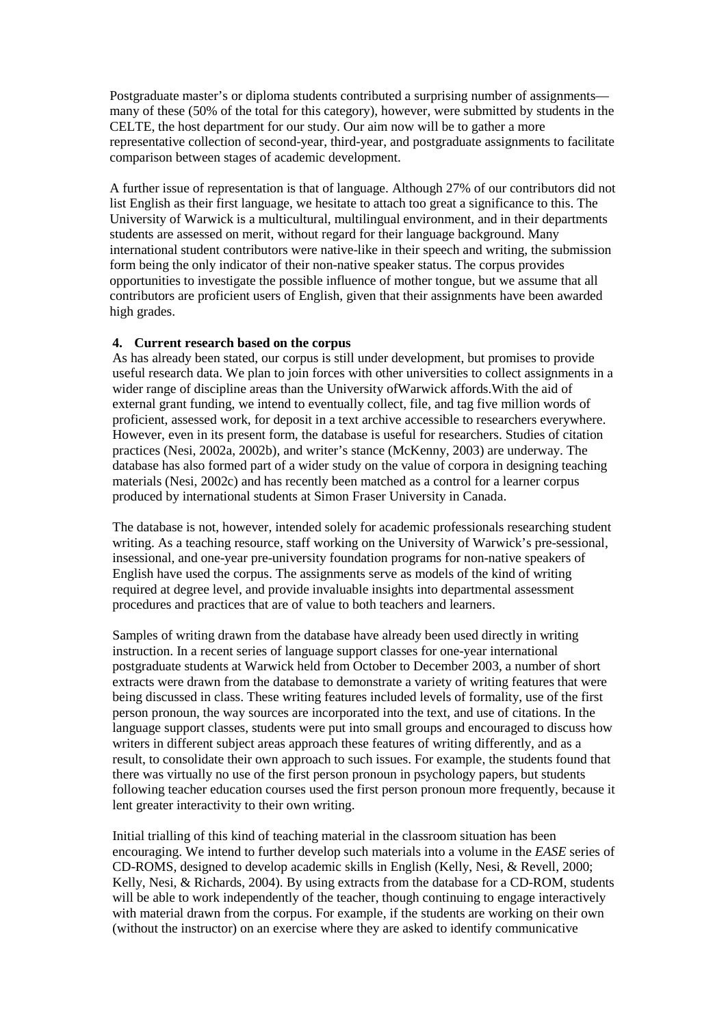Postgraduate master's or diploma students contributed a surprising number of assignments many of these (50% of the total for this category), however, were submitted by students in the CELTE, the host department for our study. Our aim now will be to gather a more representative collection of second-year, third-year, and postgraduate assignments to facilitate comparison between stages of academic development.

A further issue of representation is that of language. Although 27% of our contributors did not list English as their first language, we hesitate to attach too great a significance to this. The University of Warwick is a multicultural, multilingual environment, and in their departments students are assessed on merit, without regard for their language background. Many international student contributors were native-like in their speech and writing, the submission form being the only indicator of their non-native speaker status. The corpus provides opportunities to investigate the possible influence of mother tongue, but we assume that all contributors are proficient users of English, given that their assignments have been awarded high grades.

#### **4. Current research based on the corpus**

As has already been stated, our corpus is still under development, but promises to provide useful research data. We plan to join forces with other universities to collect assignments in a wider range of discipline areas than the University ofWarwick affords.With the aid of external grant funding, we intend to eventually collect, file, and tag five million words of proficient, assessed work, for deposit in a text archive accessible to researchers everywhere. However, even in its present form, the database is useful for researchers. Studies of citation practices (Nesi, 2002a, 2002b), and writer's stance (McKenny, 2003) are underway. The database has also formed part of a wider study on the value of corpora in designing teaching materials (Nesi, 2002c) and has recently been matched as a control for a learner corpus produced by international students at Simon Fraser University in Canada.

The database is not, however, intended solely for academic professionals researching student writing. As a teaching resource, staff working on the University of Warwick's pre-sessional, insessional, and one-year pre-university foundation programs for non-native speakers of English have used the corpus. The assignments serve as models of the kind of writing required at degree level, and provide invaluable insights into departmental assessment procedures and practices that are of value to both teachers and learners.

Samples of writing drawn from the database have already been used directly in writing instruction. In a recent series of language support classes for one-year international postgraduate students at Warwick held from October to December 2003, a number of short extracts were drawn from the database to demonstrate a variety of writing features that were being discussed in class. These writing features included levels of formality, use of the first person pronoun, the way sources are incorporated into the text, and use of citations. In the language support classes, students were put into small groups and encouraged to discuss how writers in different subject areas approach these features of writing differently, and as a result, to consolidate their own approach to such issues. For example, the students found that there was virtually no use of the first person pronoun in psychology papers, but students following teacher education courses used the first person pronoun more frequently, because it lent greater interactivity to their own writing.

Initial trialling of this kind of teaching material in the classroom situation has been encouraging. We intend to further develop such materials into a volume in the *EASE* series of CD-ROMS, designed to develop academic skills in English (Kelly, Nesi, & Revell, 2000; Kelly, Nesi, & Richards, 2004). By using extracts from the database for a CD-ROM, students will be able to work independently of the teacher, though continuing to engage interactively with material drawn from the corpus. For example, if the students are working on their own (without the instructor) on an exercise where they are asked to identify communicative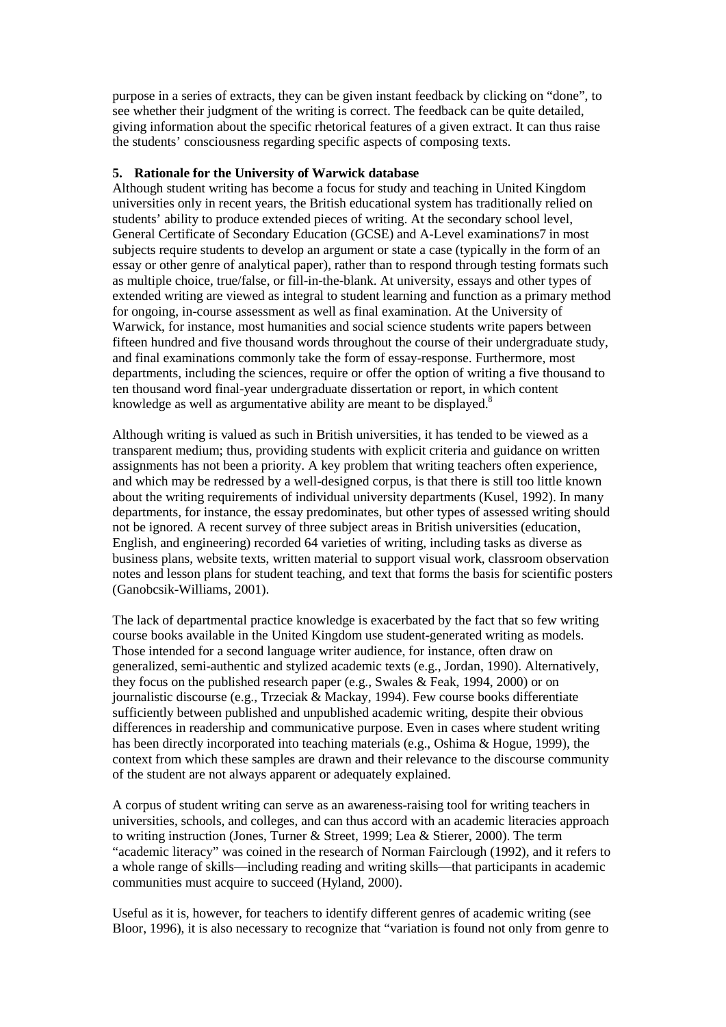purpose in a series of extracts, they can be given instant feedback by clicking on "done", to see whether their judgment of the writing is correct. The feedback can be quite detailed, giving information about the specific rhetorical features of a given extract. It can thus raise the students' consciousness regarding specific aspects of composing texts.

#### **5. Rationale for the University of Warwick database**

Although student writing has become a focus for study and teaching in United Kingdom universities only in recent years, the British educational system has traditionally relied on students' ability to produce extended pieces of writing. At the secondary school level, General Certificate of Secondary Education (GCSE) and A-Level examinations7 in most subjects require students to develop an argument or state a case (typically in the form of an essay or other genre of analytical paper), rather than to respond through testing formats such as multiple choice, true/false, or fill-in-the-blank. At university, essays and other types of extended writing are viewed as integral to student learning and function as a primary method for ongoing, in-course assessment as well as final examination. At the University of Warwick, for instance, most humanities and social science students write papers between fifteen hundred and five thousand words throughout the course of their undergraduate study, and final examinations commonly take the form of essay-response. Furthermore, most departments, including the sciences, require or offer the option of writing a five thousand to ten thousand word final-year undergraduate dissertation or report, in which content knowledge as well as argumentative ability are meant to be displayed.<sup>8</sup>

Although writing is valued as such in British universities, it has tended to be viewed as a transparent medium; thus, providing students with explicit criteria and guidance on written assignments has not been a priority. A key problem that writing teachers often experience, and which may be redressed by a well-designed corpus, is that there is still too little known about the writing requirements of individual university departments (Kusel, 1992). In many departments, for instance, the essay predominates, but other types of assessed writing should not be ignored. A recent survey of three subject areas in British universities (education, English, and engineering) recorded 64 varieties of writing, including tasks as diverse as business plans, website texts, written material to support visual work, classroom observation notes and lesson plans for student teaching, and text that forms the basis for scientific posters (Ganobcsik-Williams, 2001).

The lack of departmental practice knowledge is exacerbated by the fact that so few writing course books available in the United Kingdom use student-generated writing as models. Those intended for a second language writer audience, for instance, often draw on generalized, semi-authentic and stylized academic texts (e.g., Jordan, 1990). Alternatively, they focus on the published research paper (e.g., Swales & Feak, 1994, 2000) or on journalistic discourse (e.g., Trzeciak & Mackay, 1994). Few course books differentiate sufficiently between published and unpublished academic writing, despite their obvious differences in readership and communicative purpose. Even in cases where student writing has been directly incorporated into teaching materials (e.g., Oshima & Hogue, 1999), the context from which these samples are drawn and their relevance to the discourse community of the student are not always apparent or adequately explained.

A corpus of student writing can serve as an awareness-raising tool for writing teachers in universities, schools, and colleges, and can thus accord with an academic literacies approach to writing instruction (Jones, Turner & Street, 1999; Lea & Stierer, 2000). The term "academic literacy" was coined in the research of Norman Fairclough (1992), and it refers to a whole range of skills—including reading and writing skills—that participants in academic communities must acquire to succeed (Hyland, 2000).

Useful as it is, however, for teachers to identify different genres of academic writing (see Bloor, 1996), it is also necessary to recognize that "variation is found not only from genre to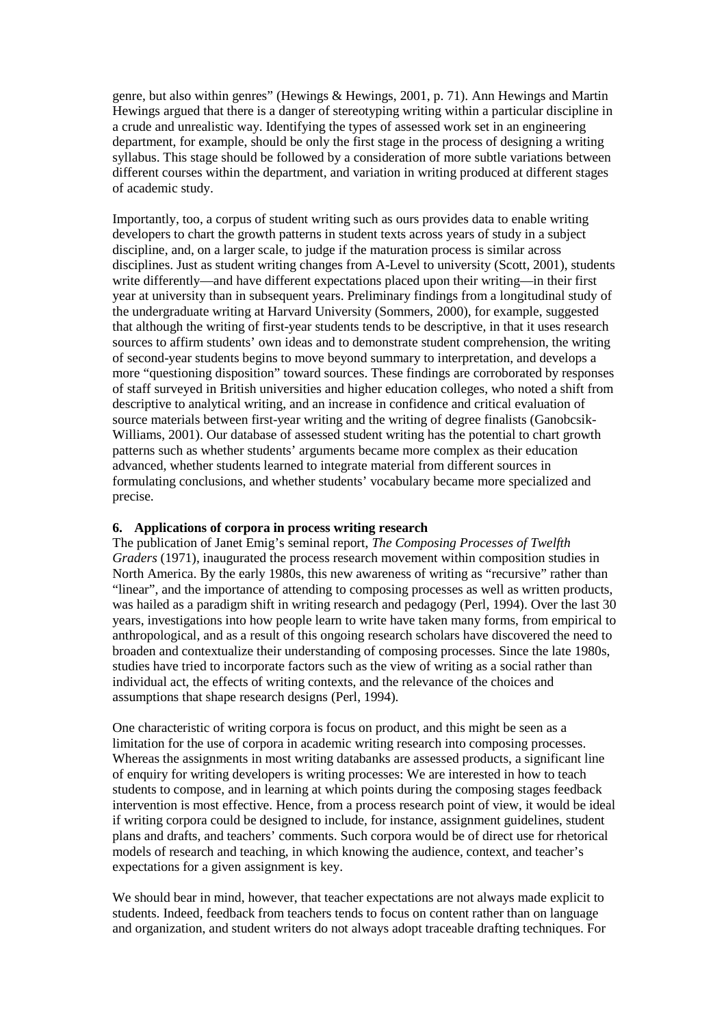genre, but also within genres" (Hewings & Hewings, 2001, p. 71). Ann Hewings and Martin Hewings argued that there is a danger of stereotyping writing within a particular discipline in a crude and unrealistic way. Identifying the types of assessed work set in an engineering department, for example, should be only the first stage in the process of designing a writing syllabus. This stage should be followed by a consideration of more subtle variations between different courses within the department, and variation in writing produced at different stages of academic study.

Importantly, too, a corpus of student writing such as ours provides data to enable writing developers to chart the growth patterns in student texts across years of study in a subject discipline, and, on a larger scale, to judge if the maturation process is similar across disciplines. Just as student writing changes from A-Level to university (Scott, 2001), students write differently—and have different expectations placed upon their writing—in their first year at university than in subsequent years. Preliminary findings from a longitudinal study of the undergraduate writing at Harvard University (Sommers, 2000), for example, suggested that although the writing of first-year students tends to be descriptive, in that it uses research sources to affirm students' own ideas and to demonstrate student comprehension, the writing of second-year students begins to move beyond summary to interpretation, and develops a more "questioning disposition" toward sources. These findings are corroborated by responses of staff surveyed in British universities and higher education colleges, who noted a shift from descriptive to analytical writing, and an increase in confidence and critical evaluation of source materials between first-year writing and the writing of degree finalists (Ganobcsik-Williams, 2001). Our database of assessed student writing has the potential to chart growth patterns such as whether students' arguments became more complex as their education advanced, whether students learned to integrate material from different sources in formulating conclusions, and whether students' vocabulary became more specialized and precise.

# **6. Applications of corpora in process writing research**

The publication of Janet Emig's seminal report, *The Composing Processes of Twelfth Graders* (1971), inaugurated the process research movement within composition studies in North America. By the early 1980s, this new awareness of writing as "recursive" rather than "linear", and the importance of attending to composing processes as well as written products, was hailed as a paradigm shift in writing research and pedagogy (Perl, 1994). Over the last 30 years, investigations into how people learn to write have taken many forms, from empirical to anthropological, and as a result of this ongoing research scholars have discovered the need to broaden and contextualize their understanding of composing processes. Since the late 1980s, studies have tried to incorporate factors such as the view of writing as a social rather than individual act, the effects of writing contexts, and the relevance of the choices and assumptions that shape research designs (Perl, 1994).

One characteristic of writing corpora is focus on product, and this might be seen as a limitation for the use of corpora in academic writing research into composing processes. Whereas the assignments in most writing databanks are assessed products, a significant line of enquiry for writing developers is writing processes: We are interested in how to teach students to compose, and in learning at which points during the composing stages feedback intervention is most effective. Hence, from a process research point of view, it would be ideal if writing corpora could be designed to include, for instance, assignment guidelines, student plans and drafts, and teachers' comments. Such corpora would be of direct use for rhetorical models of research and teaching, in which knowing the audience, context, and teacher's expectations for a given assignment is key.

We should bear in mind, however, that teacher expectations are not always made explicit to students. Indeed, feedback from teachers tends to focus on content rather than on language and organization, and student writers do not always adopt traceable drafting techniques. For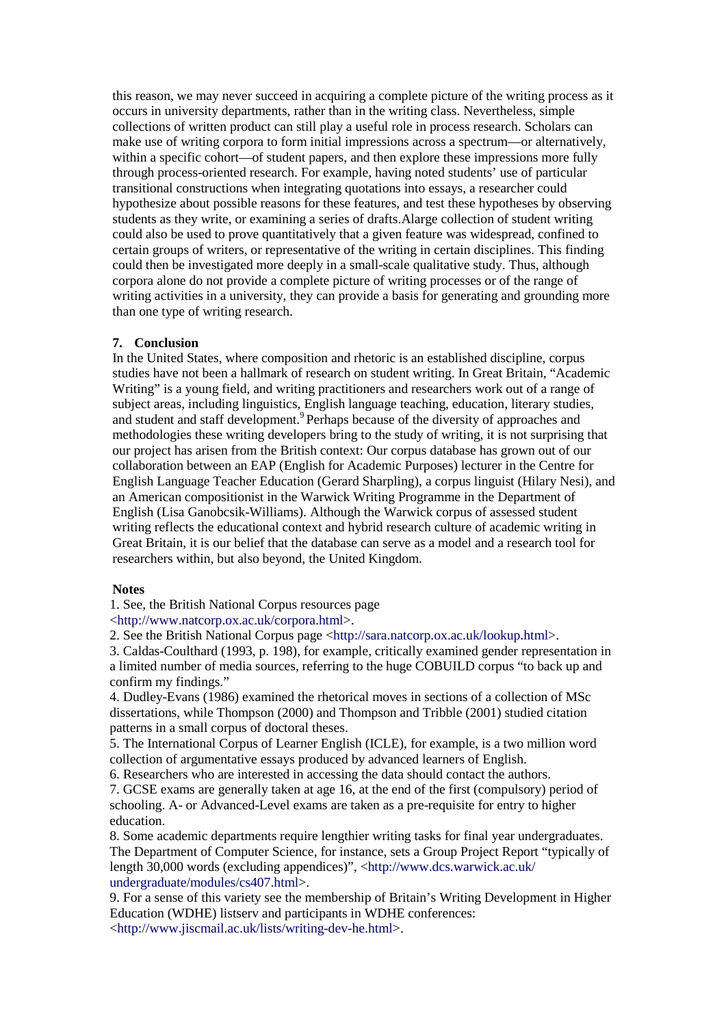this reason, we may never succeed in acquiring a complete picture of the writing process as it occurs in university departments, rather than in the writing class. Nevertheless, simple collections of written product can still play a useful role in process research. Scholars can make use of writing corpora to form initial impressions across a spectrum—or alternatively, within a specific cohort—of student papers, and then explore these impressions more fully through process-oriented research. For example, having noted students' use of particular transitional constructions when integrating quotations into essays, a researcher could hypothesize about possible reasons for these features, and test these hypotheses by observing students as they write, or examining a series of drafts.Alarge collection of student writing could also be used to prove quantitatively that a given feature was widespread, confined to certain groups of writers, or representative of the writing in certain disciplines. This finding could then be investigated more deeply in a small-scale qualitative study. Thus, although corpora alone do not provide a complete picture of writing processes or of the range of writing activities in a university, they can provide a basis for generating and grounding more than one type of writing research.

#### **7. Conclusion**

In the United States, where composition and rhetoric is an established discipline, corpus studies have not been a hallmark of research on student writing. In Great Britain, "Academic Writing" is a young field, and writing practitioners and researchers work out of a range of subject areas, including linguistics, English language teaching, education, literary studies, and student and staff development.<sup>9</sup> Perhaps because of the diversity of approaches and methodologies these writing developers bring to the study of writing, it is not surprising that our project has arisen from the British context: Our corpus database has grown out of our collaboration between an EAP (English for Academic Purposes) lecturer in the Centre for English Language Teacher Education (Gerard Sharpling), a corpus linguist (Hilary Nesi), and an American compositionist in the Warwick Writing Programme in the Department of English (Lisa Ganobcsik-Williams). Although the Warwick corpus of assessed student writing reflects the educational context and hybrid research culture of academic writing in Great Britain, it is our belief that the database can serve as a model and a research tool for researchers within, but also beyond, the United Kingdom.

#### **Notes**

1. See, the British National Corpus resources page

<http://www.natcorp.ox.ac.uk/corpora.html>.

2. See the British National Corpus page <http://sara.natcorp.ox.ac.uk/lookup.html>.

3. Caldas-Coulthard (1993, p. 198), for example, critically examined gender representation in a limited number of media sources, referring to the huge COBUILD corpus "to back up and confirm my findings."

4. Dudley-Evans (1986) examined the rhetorical moves in sections of a collection of MSc dissertations, while Thompson (2000) and Thompson and Tribble (2001) studied citation patterns in a small corpus of doctoral theses.

5. The International Corpus of Learner English (ICLE), for example, is a two million word collection of argumentative essays produced by advanced learners of English.

6. Researchers who are interested in accessing the data should contact the authors.

7. GCSE exams are generally taken at age 16, at the end of the first (compulsory) period of schooling. A- or Advanced-Level exams are taken as a pre-requisite for entry to higher education.

8. Some academic departments require lengthier writing tasks for final year undergraduates. The Department of Computer Science, for instance, sets a Group Project Report "typically of length 30,000 words (excluding appendices)", <http://www.dcs.warwick.ac.uk/ undergraduate/modules/cs407.html>.

9. For a sense of this variety see the membership of Britain's Writing Development in Higher Education (WDHE) listserv and participants in WDHE conferences: <http://www.jiscmail.ac.uk/lists/writing-dev-he.html>.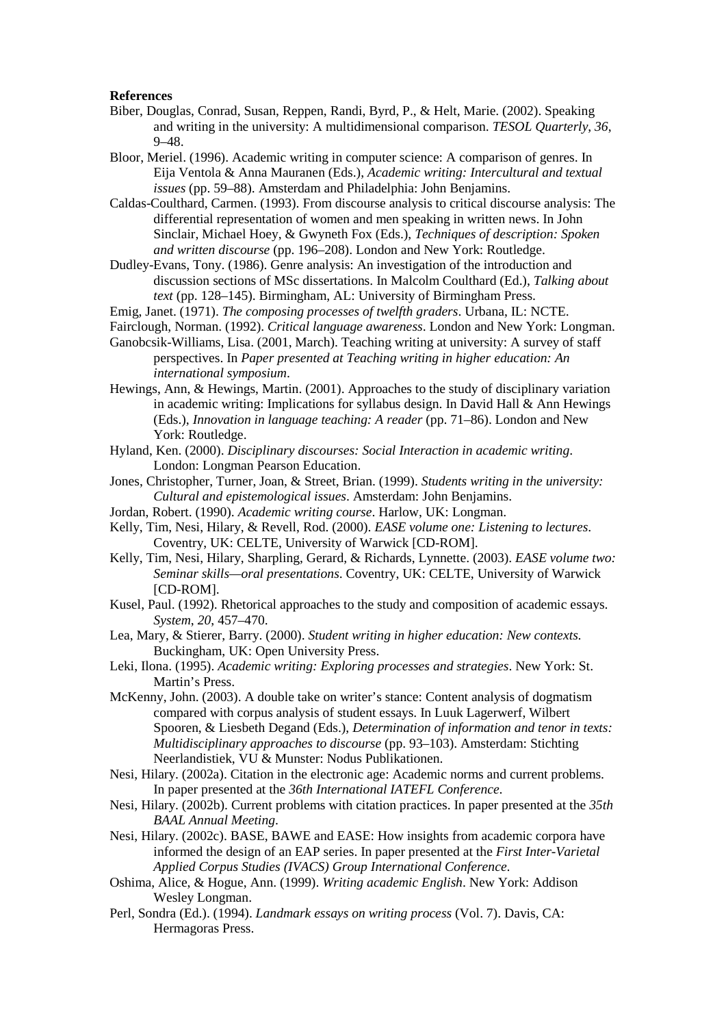#### **References**

- Biber, Douglas, Conrad, Susan, Reppen, Randi, Byrd, P., & Helt, Marie. (2002). Speaking and writing in the university: A multidimensional comparison. *TESOL Quarterly*, *36*, 9–48.
- Bloor, Meriel. (1996). Academic writing in computer science: A comparison of genres. In Eija Ventola & Anna Mauranen (Eds.), *Academic writing: Intercultural and textual issues* (pp. 59–88). Amsterdam and Philadelphia: John Benjamins.
- Caldas-Coulthard, Carmen. (1993). From discourse analysis to critical discourse analysis: The differential representation of women and men speaking in written news. In John Sinclair, Michael Hoey, & Gwyneth Fox (Eds.), *Techniques of description: Spoken and written discourse* (pp. 196–208). London and New York: Routledge.
- Dudley-Evans, Tony. (1986). Genre analysis: An investigation of the introduction and discussion sections of MSc dissertations. In Malcolm Coulthard (Ed.), *Talking about text* (pp. 128–145). Birmingham, AL: University of Birmingham Press.
- Emig, Janet. (1971). *The composing processes of twelfth graders*. Urbana, IL: NCTE.
- Fairclough, Norman. (1992). *Critical language awareness*. London and New York: Longman.
- Ganobcsik-Williams, Lisa. (2001, March). Teaching writing at university: A survey of staff perspectives. In *Paper presented at Teaching writing in higher education: An international symposium*.
- Hewings, Ann, & Hewings, Martin. (2001). Approaches to the study of disciplinary variation in academic writing: Implications for syllabus design. In David Hall & Ann Hewings (Eds.), *Innovation in language teaching: A reader* (pp. 71–86). London and New York: Routledge.
- Hyland, Ken. (2000). *Disciplinary discourses: Social Interaction in academic writing*. London: Longman Pearson Education.
- Jones, Christopher, Turner, Joan, & Street, Brian. (1999). *Students writing in the university: Cultural and epistemological issues*. Amsterdam: John Benjamins.
- Jordan, Robert. (1990). *Academic writing course*. Harlow, UK: Longman.
- Kelly, Tim, Nesi, Hilary, & Revell, Rod. (2000). *EASE volume one: Listening to lectures*. Coventry, UK: CELTE, University of Warwick [CD-ROM].
- Kelly, Tim, Nesi, Hilary, Sharpling, Gerard, & Richards, Lynnette. (2003). *EASE volume two: Seminar skills—oral presentations*. Coventry, UK: CELTE, University of Warwick [CD-ROM].
- Kusel, Paul. (1992). Rhetorical approaches to the study and composition of academic essays. *System*, *20*, 457–470.
- Lea, Mary, & Stierer, Barry. (2000). *Student writing in higher education: New contexts*. Buckingham, UK: Open University Press.
- Leki, Ilona. (1995). *Academic writing: Exploring processes and strategies*. New York: St. Martin's Press.
- McKenny, John. (2003). A double take on writer's stance: Content analysis of dogmatism compared with corpus analysis of student essays. In Luuk Lagerwerf, Wilbert Spooren, & Liesbeth Degand (Eds.), *Determination of information and tenor in texts: Multidisciplinary approaches to discourse* (pp. 93–103). Amsterdam: Stichting Neerlandistiek, VU & Munster: Nodus Publikationen.
- Nesi, Hilary. (2002a). Citation in the electronic age: Academic norms and current problems. In paper presented at the *36th International IATEFL Conference*.
- Nesi, Hilary. (2002b). Current problems with citation practices. In paper presented at the *35th BAAL Annual Meeting*.
- Nesi, Hilary. (2002c). BASE, BAWE and EASE: How insights from academic corpora have informed the design of an EAP series. In paper presented at the *First Inter-Varietal Applied Corpus Studies (IVACS) Group International Conference*.
- Oshima, Alice, & Hogue, Ann. (1999). *Writing academic English*. New York: Addison Wesley Longman.
- Perl, Sondra (Ed.). (1994). *Landmark essays on writing process* (Vol. 7). Davis, CA: Hermagoras Press.